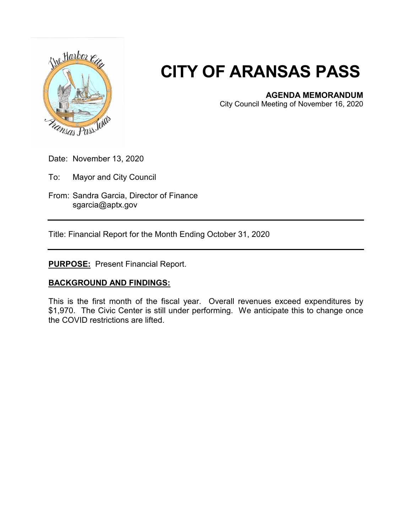

# **CITY OF ARANSAS PASS**

#### **AGENDA MEMORANDUM**

City Council Meeting of November 16, 2020

- Date: November 13, 2020
- To: Mayor and City Council
- From: Sandra Garcia, Director of Finance sgarcia@aptx.gov

Title: Financial Report for the Month Ending October 31, 2020

### **PURPOSE:** Present Financial Report.

## **BACKGROUND AND FINDINGS:**

This is the first month of the fiscal year. Overall revenues exceed expenditures by \$1,970. The Civic Center is still under performing. We anticipate this to change once the COVID restrictions are lifted.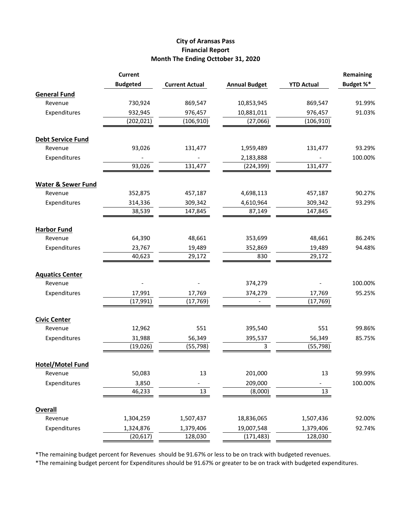#### **City of Aransas Pass Financial Report Month The Ending Octtober 31, 2020**

|                                | <b>Current</b>  |                       |                      |                   | Remaining |
|--------------------------------|-----------------|-----------------------|----------------------|-------------------|-----------|
|                                | <b>Budgeted</b> | <b>Current Actual</b> | <b>Annual Budget</b> | <b>YTD Actual</b> | Budget %* |
| <b>General Fund</b>            |                 |                       |                      |                   |           |
| Revenue                        | 730,924         | 869,547               | 10,853,945           | 869,547           | 91.99%    |
| Expenditures                   | 932,945         | 976,457               | 10,881,011           | 976,457           | 91.03%    |
|                                | (202, 021)      | (106, 910)            | (27,066)             | (106, 910)        |           |
| <b>Debt Service Fund</b>       |                 |                       |                      |                   |           |
| Revenue                        | 93,026          | 131,477               | 1,959,489            | 131,477           | 93.29%    |
| Expenditures                   |                 |                       | 2,183,888            |                   | 100.00%   |
|                                | 93,026          | 131,477               | (224, 399)           | 131,477           |           |
| <b>Water &amp; Sewer Fund</b>  |                 |                       |                      |                   |           |
| Revenue                        | 352,875         | 457,187               | 4,698,113            | 457,187           | 90.27%    |
| Expenditures                   | 314,336         | 309,342               | 4,610,964            | 309,342           | 93.29%    |
|                                | 38,539          | 147,845               | 87,149               | 147,845           |           |
| <b>Harbor Fund</b>             |                 |                       |                      |                   |           |
| Revenue                        | 64,390          | 48,661                | 353,699              | 48,661            | 86.24%    |
| Expenditures                   | 23,767          | 19,489                | 352,869              | 19,489            | 94.48%    |
|                                | 40,623          | 29,172                | 830                  | 29,172            |           |
| <b>Aquatics Center</b>         |                 |                       |                      |                   |           |
| Revenue                        |                 |                       | 374,279              |                   | 100.00%   |
| Expenditures                   | 17,991          | 17,769                | 374,279              | 17,769            | 95.25%    |
|                                | (17, 991)       | (17, 769)             |                      | (17, 769)         |           |
|                                |                 |                       |                      |                   |           |
| <b>Civic Center</b><br>Revenue | 12,962          | 551                   | 395,540              | 551               | 99.86%    |
| Expenditures                   | 31,988          | 56,349                | 395,537              | 56,349            | 85.75%    |
|                                | (19, 026)       | (55, 798)             | 3                    | (55, 798)         |           |
|                                |                 |                       |                      |                   |           |
| <b>Hotel/Motel Fund</b>        |                 |                       |                      |                   |           |
| Revenue                        | 50,083          | 13                    | 201,000              | 13                | 99.99%    |
| Expenditures                   | 3,850           |                       | 209,000              |                   | 100.00%   |
|                                | 46,233          | 13                    | (8,000)              | 13                |           |
| <b>Overall</b>                 |                 |                       |                      |                   |           |
| Revenue                        | 1,304,259       | 1,507,437             | 18,836,065           | 1,507,436         | 92.00%    |
| Expenditures                   | 1,324,876       | 1,379,406             | 19,007,548           | 1,379,406         | 92.74%    |
|                                | (20, 617)       | 128,030               | (171, 483)           | 128,030           |           |

\*The remaining budget percent for Revenues should be 91.67% or less to be on track with budgeted revenues.

\*The remaining budget percent for Expenditures should be 91.67% or greater to be on track with budgeted expenditures.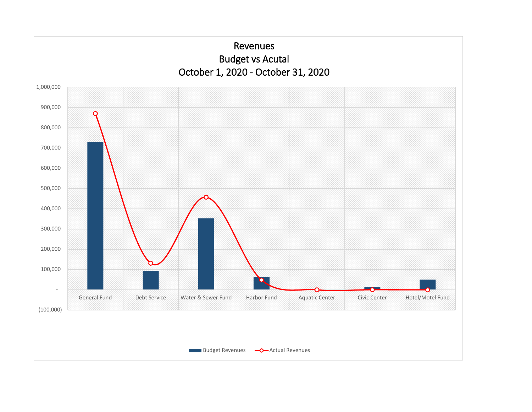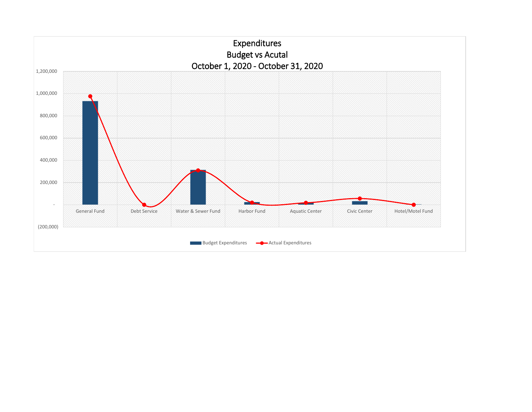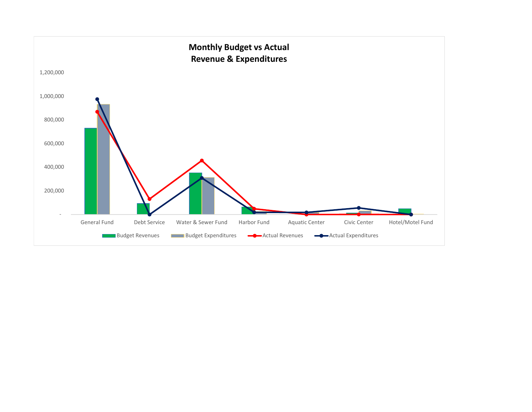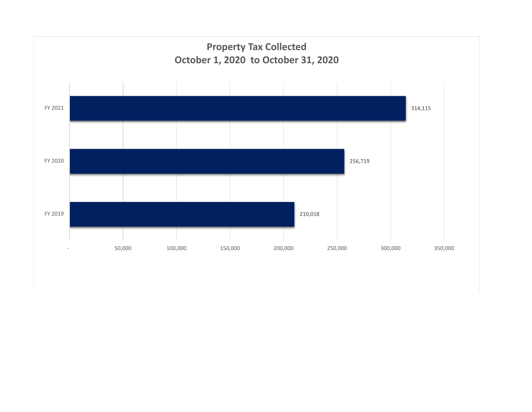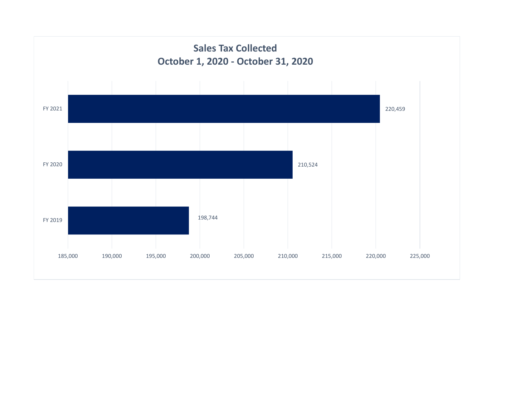